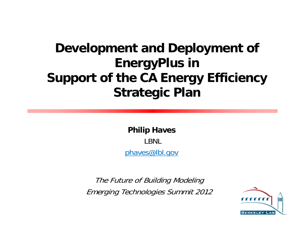### **Development and Deployment of EnergyPlus in Support of the CA Energy Efficiency Strategic Plan**

**Philip Haves** LBNL phaves@lbl.gov

The Future of Building Modeling Emerging Technologies Summit 2012

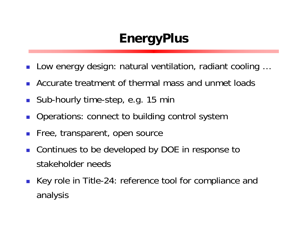### **EnergyPlus**

- $\mathbb{R}^n$ Low energy design: natural ventilation, radiant cooling …
- F. Accurate treatment of thermal mass and unmet loads
- $\mathcal{C}^{\mathcal{A}}$ Sub-hourly time-step, e.g. 15 min
- $\mathcal{L}_{\mathcal{A}}$ Operations: connect to building control system
- $\mathcal{C}^{\mathcal{A}}$ Free, transparent, open source
- $\mathcal{L}_{\mathcal{A}}$  Continues to be developed by DOE in response to stakeholder needs
- Key role in Title-24: reference tool for compliance and analysis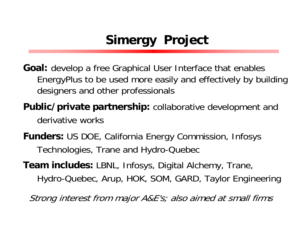# **Simergy Project**

- **Goal:** develop a free Graphical User Interface that enables EnergyPlus to be used more easily and effectively by building designers and other professionals
- **Public/private partnership:** collaborative development and derivative works
- **Funders:** US DOE, California Energy Commission, Infosys Technologies, Trane and Hydro-Quebec
- **Team includes:** LBNL, Infosys, Digital Alchemy, Trane, Hydro-Quebec, Arup, HOK, SOM, GARD, Taylor Engineering

Strong interest from major A&E's; also aimed at small firms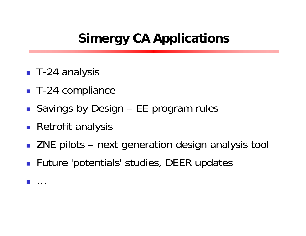### **Simergy CA Applications**

- T-24 analysis
- T-24 compliance
- Savings by Design EE program rules
- **Retrofit analysis**
- ZNE pilots next generation design analysis tool
- **Future 'potentials' studies, DEER updates**
- $\overline{\mathbb{R}^2}$ …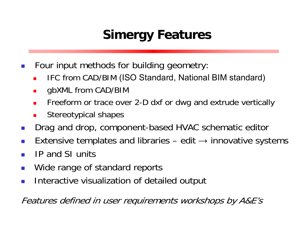## **Simergy Features**

- $\mathcal{L}_{\mathcal{A}}$  Four input methods for building geometry:
	- L IFC from CAD/BIM (ISO Standard, National BIM standard)
	- $\blacksquare$ gbXML from CAD/BIM
	- $\blacksquare$ Freeform or trace over 2-D dxf or dwg and extrude vertically
	- Г Stereotypical shapes
- $\vert \cdot \vert$ Drag and drop, component-based HVAC schematic editor
- $\sim$ Extensive templates and libraries  $-$  edit  $\rightarrow$  innovative systems
- k. IP and SI units
- $\vert \cdot \vert$ Wide range of standard reports
- $\overline{\mathbb{R}^n}$ Interactive visualization of detailed output

Features defined in user requirements workshops by A&E's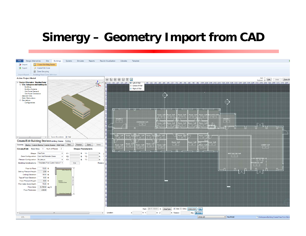#### **Simergy - Geometry Import from CAD**

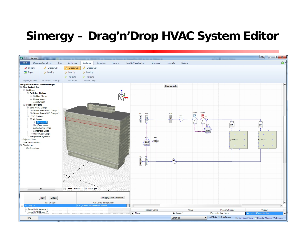#### Simergy - Drag'n'Drop HVAC System Editor

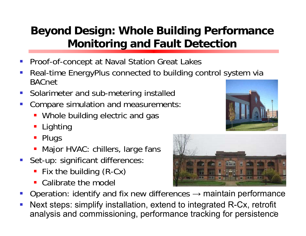#### **Beyond Design: Whole Building Performance Monitoring and Fault Detection**

- $\mathcal{L}_{\mathcal{A}}$ Proof-of-concept at Naval Station Great Lakes
- P) Real-time EnergyPlus connected to building control system via BACnet
- $\mathcal{L}^{\text{max}}$ Solarimeter and sub-metering installed
- P) Compare simulation and measurements:
	- **Whole building electric and gas**
	- F Lighting
	- **Plugs**
	- **-** Major HVAC: chillers, large fans
- **Set-up: significant differences** 
	- F Fix the building (R-Cx)
	- $\blacksquare$ Calibrate the model
- Operation: identify and fix new differences  $\rightarrow$  maintain performance
- P) Next steps: simplify installation, extend to integrated R-Cx, retrofit analysis and commissioning, performance tracking for persistence



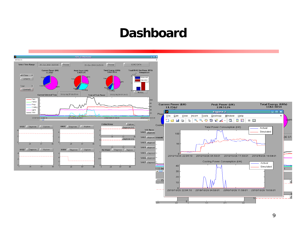#### **Dashboard**



9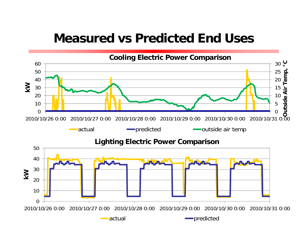#### **Measured vs Predicted End Uses**